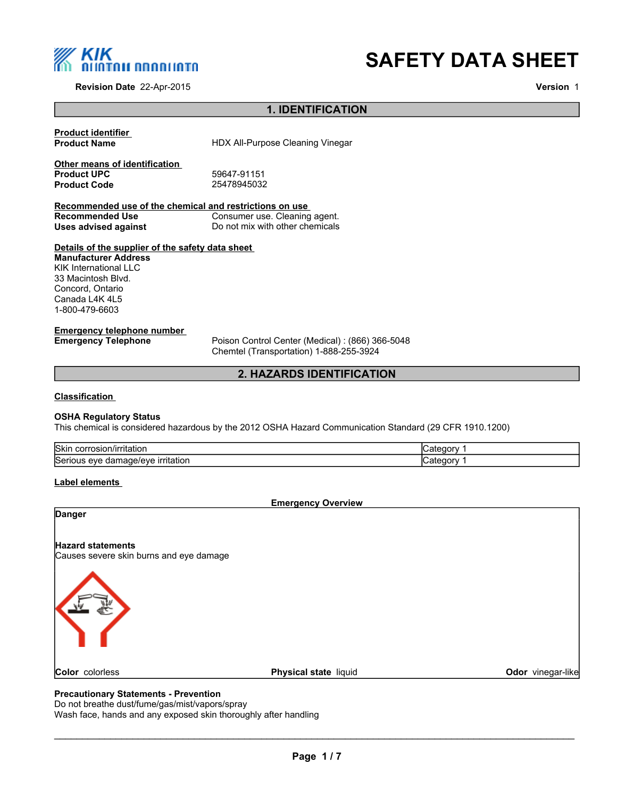

**Revision Date** 22-Apr-2015

# **SAFETY DATA SHEET**

**Version** 1

# **1. IDENTIFICATION**

**Product identifier HDX All-Purpose Cleaning Vinegar Other means of identification**<br>**Product UPC Product UPC** 59647-91151 **Product Code Recommended use of the chemical and restrictions on use Recommended Use** Consumer use. Cleaning agent.<br>
Uses advised against Do not mix with other chemicals **Uses advised against** Do not mix with other chemicals **Details of the supplier of the safety data sheet Emergency telephone number Emergency Telephone** Poison Control Center (Medical) : (866) 366-5048 **Manufacturer Address** KIK International LLC 33 Macintosh Blvd. Concord, Ontario Canada L4K 4L5 1-800-479-6603

Chemtel (Transportation) 1-888-255-3924

# **2. HAZARDS IDENTIFICATION**

#### **Classification**

#### **OSHA Regulatory Status**

This chemical is considered hazardous by the 2012 OSHA Hazard Communication Standard (29 CFR 1910.1200)

| Skir<br>corrosior<br>ritation.                   |  |
|--------------------------------------------------|--|
| Serious<br>.nage/eve<br>eve<br>aan<br>irritation |  |

#### **Label elements**

**Emergency Overview Danger Hazard statements** Causes severe skin burns and eye damage **Color** colorless **Physical state** liquid **Color** *Color* vinegar-like

# **Precautionary Statements - Prevention**

Do not breathe dust/fume/gas/mist/vapors/spray Wash face, hands and any exposed skin thoroughly after handling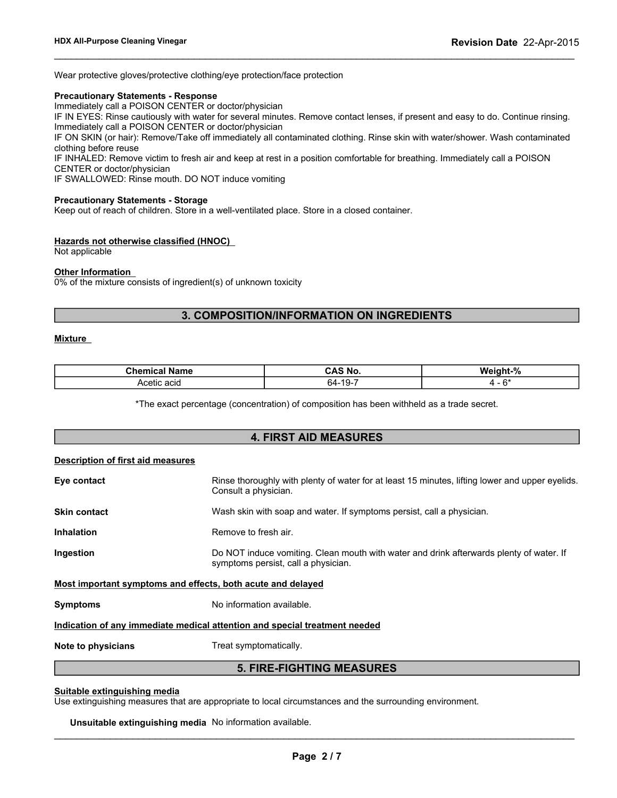Wear protective gloves/protective clothing/eye protection/face protection

#### **Precautionary Statements - Response**

Immediately call a POISON CENTER or doctor/physician

IF IN EYES: Rinse cautiously with water for several minutes. Remove contact lenses, if present and easy to do. Continue rinsing. Immediately call a POISON CENTER or doctor/physician

 $\_$  ,  $\_$  ,  $\_$  ,  $\_$  ,  $\_$  ,  $\_$  ,  $\_$  ,  $\_$  ,  $\_$  ,  $\_$  ,  $\_$  ,  $\_$  ,  $\_$  ,  $\_$  ,  $\_$  ,  $\_$  ,  $\_$  ,  $\_$  ,  $\_$  ,  $\_$  ,  $\_$  ,  $\_$  ,  $\_$  ,  $\_$  ,  $\_$  ,  $\_$  ,  $\_$  ,  $\_$  ,  $\_$  ,  $\_$  ,  $\_$  ,  $\_$  ,  $\_$  ,  $\_$  ,  $\_$  ,  $\_$  ,  $\_$  ,

IF ON SKIN (or hair): Remove/Take off immediately all contaminated clothing. Rinse skin with water/shower. Wash contaminated clothing before reuse

IF INHALED: Remove victim to fresh air and keep at rest in a position comfortable for breathing. Immediately call a POISON CENTER or doctor/physician

IF SWALLOWED: Rinse mouth. DO NOT induce vomiting

#### **Precautionary Statements - Storage**

Keep out of reach of children. Store in a well-ventilated place. Store in a closed container.

#### **Hazards not otherwise classified (HNOC)**

Not applicable

#### **Other Information**

0% of the mixture consists of ingredient(s) of unknown toxicity

# **3. COMPOSITION/INFORMATION ON INGREDIENTS**

### **Mixture**

| Chemica<br>Name<br>$\sim$ | CAS No.                 | Weight-%       |
|---------------------------|-------------------------|----------------|
| ; acıd<br>Acetic          | $10^{-1}$<br>64.<br>- ت | $\mathbf{C}^*$ |

\*The exact percentage (concentration) of composition has been withheld as a trade secret.

# **4. FIRST AID MEASURES Description of first aid measures Eye contact Rinse thoroughly with plenty of water for at least 15 minutes, lifting lower and upper eyelids.** Consult a physician. **Skin contact** Wash skin with soap and water. If symptoms persist, call a physician. **Inhalation** Remove to fresh air. **Ingestion Do NOT** induce vomiting. Clean mouth with water and drink afterwards plenty of water. If symptoms persist, call a physician. **Most important symptoms and effects, both acute and delayed Symptoms** No information available. **Indication of any immediate medical attention and special treatment needed Note to physicians** Treat symptomatically. **5. FIRE-FIGHTING MEASURES**

#### **Suitable extinguishing media**

Use extinguishing measures that are appropriate to local circumstances and the surrounding environment.

#### **Unsuitable extinguishing media** No information available.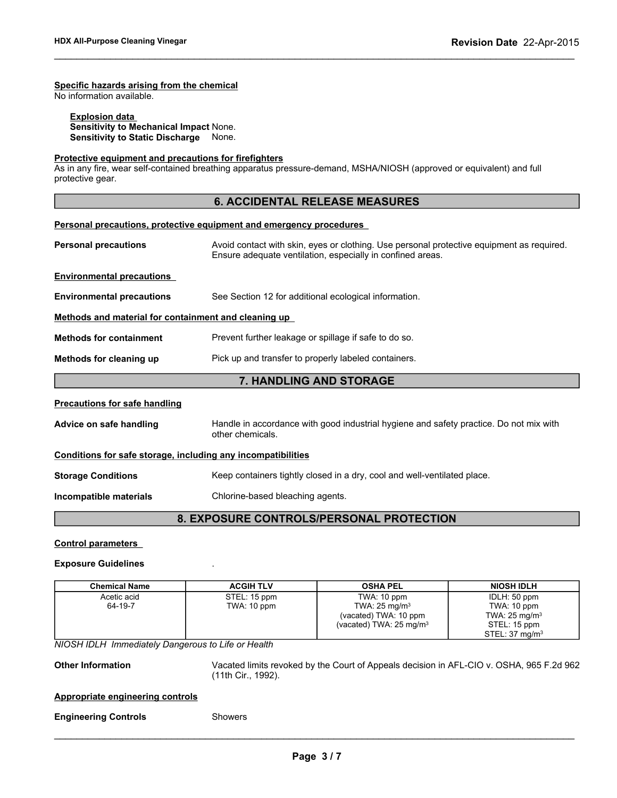# **Specific hazards arising from the chemical**

No information available.

# **Explosion data**

**Sensitivity to Mechanical Impact** None. **Sensitivity to Static Discharge** None.

# **Protective equipment and precautions for firefighters**

As in any fire, wear self-contained breathing apparatus pressure-demand, MSHA/NIOSH (approved or equivalent) and full protective gear.

# **6. ACCIDENTAL RELEASE MEASURES**

 $\_$  ,  $\_$  ,  $\_$  ,  $\_$  ,  $\_$  ,  $\_$  ,  $\_$  ,  $\_$  ,  $\_$  ,  $\_$  ,  $\_$  ,  $\_$  ,  $\_$  ,  $\_$  ,  $\_$  ,  $\_$  ,  $\_$  ,  $\_$  ,  $\_$  ,  $\_$  ,  $\_$  ,  $\_$  ,  $\_$  ,  $\_$  ,  $\_$  ,  $\_$  ,  $\_$  ,  $\_$  ,  $\_$  ,  $\_$  ,  $\_$  ,  $\_$  ,  $\_$  ,  $\_$  ,  $\_$  ,  $\_$  ,  $\_$  ,

| Personal precautions, protective equipment and emergency procedures                                                                                                                    |                                                                                                            |  |
|----------------------------------------------------------------------------------------------------------------------------------------------------------------------------------------|------------------------------------------------------------------------------------------------------------|--|
| <b>Personal precautions</b><br>Avoid contact with skin, eyes or clothing. Use personal protective equipment as required.<br>Ensure adequate ventilation, especially in confined areas. |                                                                                                            |  |
| <b>Environmental precautions</b>                                                                                                                                                       |                                                                                                            |  |
| <b>Environmental precautions</b>                                                                                                                                                       | See Section 12 for additional ecological information.                                                      |  |
| Methods and material for containment and cleaning up                                                                                                                                   |                                                                                                            |  |
| <b>Methods for containment</b>                                                                                                                                                         | Prevent further leakage or spillage if safe to do so.                                                      |  |
| Methods for cleaning up<br>Pick up and transfer to properly labeled containers.                                                                                                        |                                                                                                            |  |
| 7. HANDLING AND STORAGE                                                                                                                                                                |                                                                                                            |  |
| <b>Precautions for safe handling</b>                                                                                                                                                   |                                                                                                            |  |
| Advice on safe handling                                                                                                                                                                | Handle in accordance with good industrial hygiene and safety practice. Do not mix with<br>other chemicals. |  |
| Conditions for safe storage, including any incompatibilities                                                                                                                           |                                                                                                            |  |
| <b>Storage Conditions</b>                                                                                                                                                              | Keep containers tightly closed in a dry, cool and well-ventilated place.                                   |  |
| Incompatible materials                                                                                                                                                                 | Chlorine-based bleaching agents.                                                                           |  |
| <b>8. EXPOSURE CONTROLS/PERSONAL PROTECTION</b>                                                                                                                                        |                                                                                                            |  |

# **Control parameters**

#### **Exposure Guidelines** .

| <b>Chemical Name</b>                               | <b>ACGIH TLV</b>   | <b>OSHA PEL</b>                                                                          | <b>NIOSH IDLH</b>          |
|----------------------------------------------------|--------------------|------------------------------------------------------------------------------------------|----------------------------|
| Acetic acid                                        | STEL: 15 ppm       | TWA: 10 ppm                                                                              | IDLH: 50 ppm               |
| 64-19-7                                            | TWA: 10 ppm        | TWA: $25 \text{ mg/m}^3$                                                                 | TWA: 10 ppm                |
|                                                    |                    | (vacated) TWA: 10 ppm                                                                    | TWA: $25 \text{ mg/m}^3$   |
|                                                    |                    | (vacated) TWA: 25 mg/m <sup>3</sup>                                                      | STEL: 15 ppm               |
|                                                    |                    |                                                                                          | STEL: 37 mg/m <sup>3</sup> |
| NIOSH IDLH Immediately Dangerous to Life or Health |                    |                                                                                          |                            |
| <b>Other Information</b>                           | (11th Cir., 1992). | Vacated limits revoked by the Court of Appeals decision in AFL-CIO v. OSHA, 965 F.2d 962 |                            |
| <b>Appropriate engineering controls</b>            |                    |                                                                                          |                            |
| <b>Engineering Controls</b>                        | <b>Showers</b>     |                                                                                          |                            |
|                                                    |                    |                                                                                          |                            |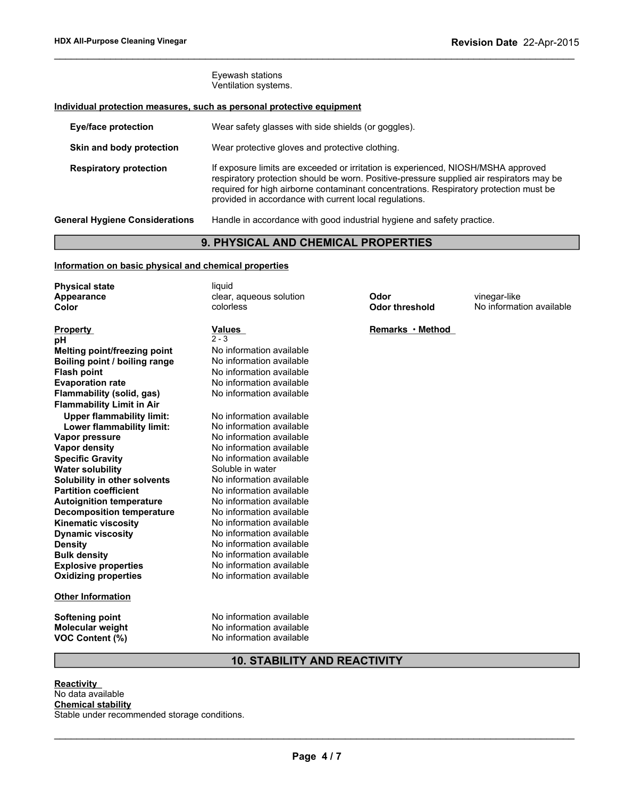Eyewash stations Ventilation systems.

# **Individual protection measures, such as personal protective equipment**

| <b>Eye/face protection</b>            | Wear safety glasses with side shields (or goggles).                                                                                                                                                                                                                                                                              |
|---------------------------------------|----------------------------------------------------------------------------------------------------------------------------------------------------------------------------------------------------------------------------------------------------------------------------------------------------------------------------------|
| Skin and body protection              | Wear protective gloves and protective clothing.                                                                                                                                                                                                                                                                                  |
| <b>Respiratory protection</b>         | If exposure limits are exceeded or irritation is experienced, NIOSH/MSHA approved<br>respiratory protection should be worn. Positive-pressure supplied air respirators may be<br>required for high airborne contaminant concentrations. Respiratory protection must be<br>provided in accordance with current local regulations. |
| <b>General Hygiene Considerations</b> | Handle in accordance with good industrial hygiene and safety practice.                                                                                                                                                                                                                                                           |

 $\_$  ,  $\_$  ,  $\_$  ,  $\_$  ,  $\_$  ,  $\_$  ,  $\_$  ,  $\_$  ,  $\_$  ,  $\_$  ,  $\_$  ,  $\_$  ,  $\_$  ,  $\_$  ,  $\_$  ,  $\_$  ,  $\_$  ,  $\_$  ,  $\_$  ,  $\_$  ,  $\_$  ,  $\_$  ,  $\_$  ,  $\_$  ,  $\_$  ,  $\_$  ,  $\_$  ,  $\_$  ,  $\_$  ,  $\_$  ,  $\_$  ,  $\_$  ,  $\_$  ,  $\_$  ,  $\_$  ,  $\_$  ,  $\_$  ,

# **9. PHYSICAL AND CHEMICAL PROPERTIES**

# **Information on basic physical and chemical properties**

| <b>Physical state</b>               | liquid                   |                       |                          |
|-------------------------------------|--------------------------|-----------------------|--------------------------|
| Appearance                          | clear, aqueous solution  | Odor                  | vinegar-like             |
| Color                               | colorless                | <b>Odor threshold</b> | No information available |
|                                     |                          |                       |                          |
| <b>Property</b>                     | <b>Values</b>            | Remarks · Method      |                          |
| рH                                  | $2 - 3$                  |                       |                          |
| <b>Melting point/freezing point</b> | No information available |                       |                          |
| Boiling point / boiling range       | No information available |                       |                          |
| <b>Flash point</b>                  | No information available |                       |                          |
| <b>Evaporation rate</b>             | No information available |                       |                          |
| Flammability (solid, gas)           | No information available |                       |                          |
| <b>Flammability Limit in Air</b>    |                          |                       |                          |
| <b>Upper flammability limit:</b>    | No information available |                       |                          |
| Lower flammability limit:           | No information available |                       |                          |
| Vapor pressure                      | No information available |                       |                          |
| <b>Vapor density</b>                | No information available |                       |                          |
| <b>Specific Gravity</b>             | No information available |                       |                          |
| <b>Water solubility</b>             | Soluble in water         |                       |                          |
| Solubility in other solvents        | No information available |                       |                          |
| <b>Partition coefficient</b>        | No information available |                       |                          |
| <b>Autoignition temperature</b>     | No information available |                       |                          |
| <b>Decomposition temperature</b>    | No information available |                       |                          |
| <b>Kinematic viscosity</b>          | No information available |                       |                          |
| <b>Dynamic viscosity</b>            | No information available |                       |                          |
| <b>Density</b>                      | No information available |                       |                          |
| <b>Bulk density</b>                 | No information available |                       |                          |
| <b>Explosive properties</b>         | No information available |                       |                          |
| <b>Oxidizing properties</b>         | No information available |                       |                          |
| <b>Other Information</b>            |                          |                       |                          |
| <b>Softening point</b>              | No information available |                       |                          |
| <b>Molecular weight</b>             | No information available |                       |                          |
| VOC Content (%)                     | No information available |                       |                          |

# **10. STABILITY AND REACTIVITY**

**Reactivity**  No data available **Chemical stability** Stable under recommended storage conditions.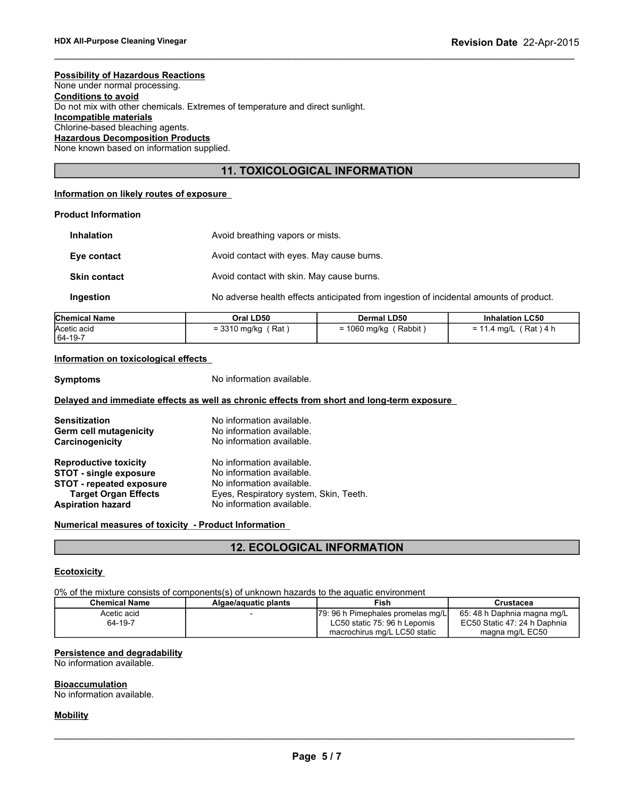#### **Possibility of Hazardous Reactions**

None under normal processing. **Conditions to avoid** Do not mix with other chemicals. Extremes of temperature and direct sunlight. **Incompatible materials** Chlorine-based bleaching agents. **Hazardous Decomposition Products** None known based on information supplied.

# **11. TOXICOLOGICAL INFORMATION**

 $\_$  ,  $\_$  ,  $\_$  ,  $\_$  ,  $\_$  ,  $\_$  ,  $\_$  ,  $\_$  ,  $\_$  ,  $\_$  ,  $\_$  ,  $\_$  ,  $\_$  ,  $\_$  ,  $\_$  ,  $\_$  ,  $\_$  ,  $\_$  ,  $\_$  ,  $\_$  ,  $\_$  ,  $\_$  ,  $\_$  ,  $\_$  ,  $\_$  ,  $\_$  ,  $\_$  ,  $\_$  ,  $\_$  ,  $\_$  ,  $\_$  ,  $\_$  ,  $\_$  ,  $\_$  ,  $\_$  ,  $\_$  ,  $\_$  ,

# **Information on likely routes of exposure**

# **Product Information**

| <b>Inhalation</b>   | Avoid breathing vapors or mists.                                                       |
|---------------------|----------------------------------------------------------------------------------------|
| Eye contact         | Avoid contact with eyes. May cause burns.                                              |
| <b>Skin contact</b> | Avoid contact with skin. May cause burns.                                              |
| Ingestion           | No adverse health effects anticipated from ingestion of incidental amounts of product. |

| <b>Chemical Name</b> | Oral LD50            | Dermal LD50             | <b>Inhalation LC50</b>  |
|----------------------|----------------------|-------------------------|-------------------------|
| Acetic acid          | $=$ 3310 mg/kg (Rat) | $= 1060$ mg/kg (Rabbit) | $= 11.4$ mg/L (Rat) 4 h |
| 64-19-7              |                      |                         |                         |

#### **Information on toxicological effects**

**Symptoms** No information available.

#### **Delayed and immediate effects as well as chronic effects from short and long-term exposure**

| <b>Sensitization</b>            | No information available.              |
|---------------------------------|----------------------------------------|
| Germ cell mutagenicity          | No information available.              |
| Carcinogenicity                 | No information available.              |
| <b>Reproductive toxicity</b>    | No information available.              |
| <b>STOT - single exposure</b>   | No information available.              |
| <b>STOT - repeated exposure</b> | No information available.              |
| <b>Target Organ Effects</b>     | Eyes, Respiratory system, Skin, Teeth. |
| <b>Aspiration hazard</b>        | No information available.              |

#### **Numerical measures of toxicity - Product Information**

# **12. ECOLOGICAL INFORMATION**

#### **Ecotoxicity**

0% of the mixture consists of components(s) of unknown hazards to the aquatic environment

| <b>Chemical Name</b> | Algae/aguatic plants | Fish                                | Crustacea                    |
|----------------------|----------------------|-------------------------------------|------------------------------|
| Acetic acid          |                      | [79: 96 h Pimephales promelas mg/L] | 65: 48 h Daphnia magna mg/L  |
| 64-19-7              |                      | LC50 static 75: 96 h Lepomis        | EC50 Static 47: 24 h Daphnia |
|                      |                      | macrochirus mg/L LC50 static        | magna mg/L EC50              |

# **Persistence and degradability**

No information available.

#### **Bioaccumulation**

No information available.

#### **Mobility**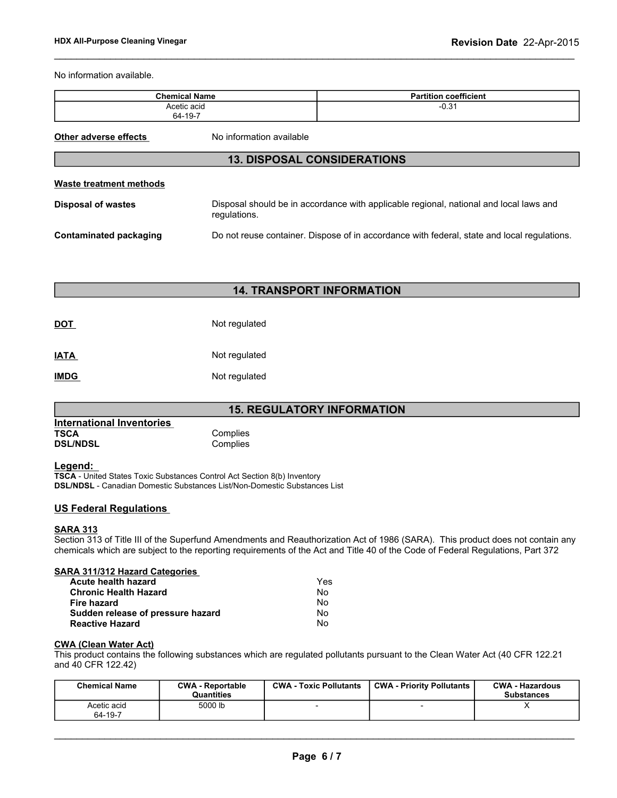No information available.

| <b>Chemical Name</b>                                                                                                         |                                    | <b>Partition coefficient</b>                                                           |
|------------------------------------------------------------------------------------------------------------------------------|------------------------------------|----------------------------------------------------------------------------------------|
| Acetic acid<br>64-19-7                                                                                                       |                                    | $-0.31$                                                                                |
| Other adverse effects                                                                                                        | No information available           |                                                                                        |
|                                                                                                                              | <b>13. DISPOSAL CONSIDERATIONS</b> |                                                                                        |
| <b>Waste treatment methods</b>                                                                                               |                                    |                                                                                        |
| <b>Disposal of wastes</b>                                                                                                    | regulations.                       | Disposal should be in accordance with applicable regional, national and local laws and |
| Do not reuse container. Dispose of in accordance with federal, state and local regulations.<br><b>Contaminated packaging</b> |                                    |                                                                                        |
|                                                                                                                              |                                    |                                                                                        |
|                                                                                                                              |                                    |                                                                                        |

 $\_$  ,  $\_$  ,  $\_$  ,  $\_$  ,  $\_$  ,  $\_$  ,  $\_$  ,  $\_$  ,  $\_$  ,  $\_$  ,  $\_$  ,  $\_$  ,  $\_$  ,  $\_$  ,  $\_$  ,  $\_$  ,  $\_$  ,  $\_$  ,  $\_$  ,  $\_$  ,  $\_$  ,  $\_$  ,  $\_$  ,  $\_$  ,  $\_$  ,  $\_$  ,  $\_$  ,  $\_$  ,  $\_$  ,  $\_$  ,  $\_$  ,  $\_$  ,  $\_$  ,  $\_$  ,  $\_$  ,  $\_$  ,  $\_$  ,

# **14. TRANSPORT INFORMATION**

| <b>DOT</b>  | Not regulated |
|-------------|---------------|
| IATA        | Not regulated |
| <b>IMDG</b> | Not regulated |

# **15. REGULATORY INFORMATION**

| International Inventories |          |
|---------------------------|----------|
| <b>TSCA</b>               | Complies |
| <b>DSL/NDSL</b>           | Complies |

# **Legend:**

**TSCA** - United States Toxic Substances Control Act Section 8(b) Inventory **DSL/NDSL** - Canadian Domestic Substances List/Non-Domestic Substances List

# **US Federal Regulations**

#### **SARA 313**

Section 313 of Title III of the Superfund Amendments and Reauthorization Act of 1986 (SARA). This product does not contain any chemicals which are subject to the reporting requirements of the Act and Title 40 of the Code of Federal Regulations, Part 372

### **SARA 311/312 Hazard Categories**

| Yes |
|-----|
| No  |
| Nο  |
| No  |
| N٥  |
|     |

#### **CWA (Clean Water Act)**

This product contains the following substances which are regulated pollutants pursuant to the Clean Water Act (40 CFR 122.21 and 40 CFR 122.42)

| <b>Chemical Name</b>   | <b>CWA - Reportable</b><br><b>Quantities</b> | <b>CWA - Toxic Pollutants</b> | <b>CWA - Priority Pollutants</b> | <b>CWA - Hazardous</b><br><b>Substances</b> |
|------------------------|----------------------------------------------|-------------------------------|----------------------------------|---------------------------------------------|
| Acetic acid<br>64-19-7 | 5000 lb                                      |                               |                                  |                                             |